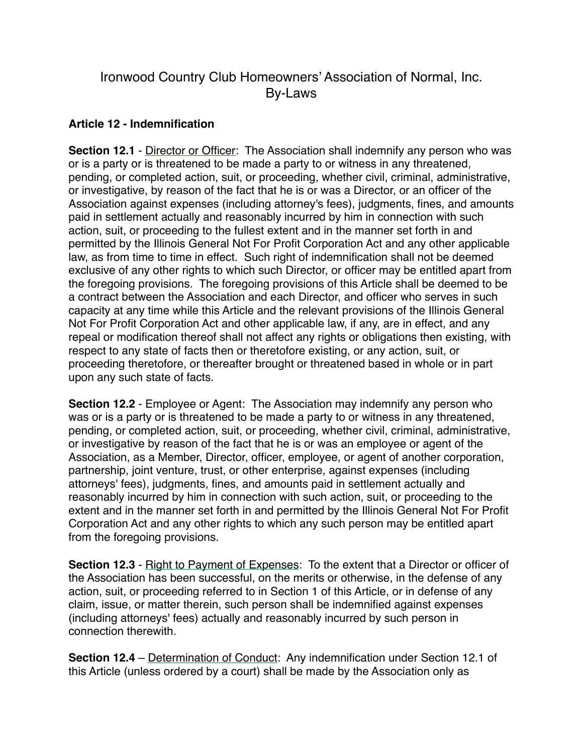## Ironwood Country Club Homeowners' Association of Normal, Inc. By-Laws

## **Article 12 - Indemnification**

**Section 12.1 - Director or Officer:** The Association shall indemnify any person who was or is a party or is threatened to be made a party to or witness in any threatened, pending, or completed action, suit, or proceeding, whether civil, criminal, administrative, or investigative, by reason of the fact that he is or was a Director, or an officer of the Association against expenses (including attorney's fees), judgments, fines, and amounts paid in settlement actually and reasonably incurred by him in connection with such action, suit, or proceeding to the fullest extent and in the manner set forth in and permitted by the Illinois General Not For Profit Corporation Act and any other applicable law, as from time to time in effect. Such right of indemnification shall not be deemed exclusive of any other rights to which such Director, or officer may be entitled apart from the foregoing provisions. The foregoing provisions of this Article shall be deemed to be a contract between the Association and each Director, and officer who serves in such capacity at any time while this Article and the relevant provisions of the Illinois General Not For Profit Corporation Act and other applicable law, if any, are in effect, and any repeal or modification thereof shall not affect any rights or obligations then existing, with respect to any state of facts then or theretofore existing, or any action, suit, or proceeding theretofore, or thereafter brought or threatened based in whole or in part upon any such state of facts.

**Section 12.2** - Employee or Agent:The Association may indemnify any person who was or is a party or is threatened to be made a party to or witness in any threatened, pending, or completed action, suit, or proceeding, whether civil, criminal, administrative, or investigative by reason of the fact that he is or was an employee or agent of the Association, as a Member, Director, officer, employee, or agent of another corporation, partnership, joint venture, trust, or other enterprise, against expenses (including attorneys' fees), judgments, fines, and amounts paid in settlement actually and reasonably incurred by him in connection with such action, suit, or proceeding to the extent and in the manner set forth in and permitted by the Illinois General Not For Profit Corporation Act and any other rights to which any such person may be entitled apart from the foregoing provisions.

**Section 12.3** - Right to Payment of Expenses: To the extent that a Director or officer of the Association has been successful, on the merits or otherwise, in the defense of any action, suit, or proceeding referred to in Section 1 of this Article, or in defense of any claim, issue, or matter therein, such person shall be indemnified against expenses (including attorneys' fees) actually and reasonably incurred by such person in connection therewith.

**Section 12.4** – Determination of Conduct: Any indemnification under Section 12.1 of this Article (unless ordered by a court) shall be made by the Association only as